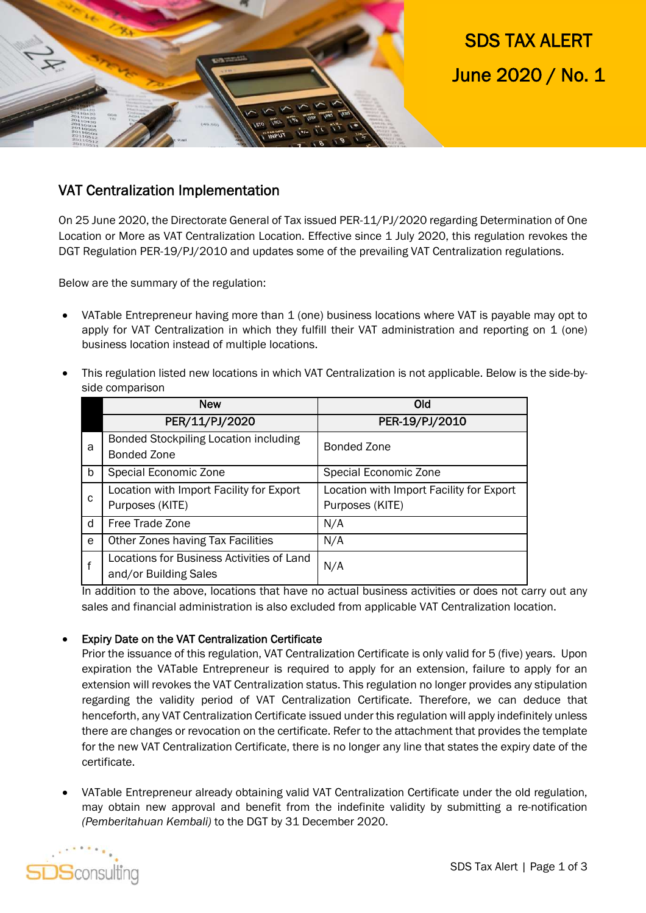

SDS TAX ALERT June 2020 / No. 1

## VAT Centralization Implementation

On 25 June 2020, the Directorate General of Tax issued PER-11/PJ/2020 regarding Determination of One Location or More as VAT Centralization Location. Effective since 1 July 2020, this regulation revokes the DGT Regulation PER-19/PJ/2010 and updates some of the prevailing VAT Centralization regulations.

Below are the summary of the regulation:

- VATable Entrepreneur having more than 1 (one) business locations where VAT is payable may opt to apply for VAT Centralization in which they fulfill their VAT administration and reporting on 1 (one) business location instead of multiple locations.
- This regulation listed new locations in which VAT Centralization is not applicable. Below is the side-byside comparison

|              | <b>New</b>                                                         | Old                                                         |
|--------------|--------------------------------------------------------------------|-------------------------------------------------------------|
|              | PER/11/PJ/2020                                                     | PER-19/PJ/2010                                              |
| a            | <b>Bonded Stockpiling Location including</b><br><b>Bonded Zone</b> | <b>Bonded Zone</b>                                          |
| b            | Special Economic Zone                                              | Special Economic Zone                                       |
| $\mathbf{C}$ | Location with Import Facility for Export<br>Purposes (KITE)        | Location with Import Facility for Export<br>Purposes (KITE) |
| d            | Free Trade Zone                                                    | N/A                                                         |
| e            | Other Zones having Tax Facilities                                  | N/A                                                         |
| f            | Locations for Business Activities of Land<br>and/or Building Sales | N/A                                                         |

In addition to the above, locations that have no actual business activities or does not carry out any sales and financial administration is also excluded from applicable VAT Centralization location.

## Expiry Date on the VAT Centralization Certificate

Prior the issuance of this regulation, VAT Centralization Certificate is only valid for 5 (five) years. Upon expiration the VATable Entrepreneur is required to apply for an extension, failure to apply for an extension will revokes the VAT Centralization status. This regulation no longer provides any stipulation regarding the validity period of VAT Centralization Certificate. Therefore, we can deduce that henceforth, any VAT Centralization Certificate issued under this regulation will apply indefinitely unless there are changes or revocation on the certificate. Refer to the attachment that provides the template for the new VAT Centralization Certificate, there is no longer any line that states the expiry date of the certificate.

 VATable Entrepreneur already obtaining valid VAT Centralization Certificate under the old regulation, may obtain new approval and benefit from the indefinite validity by submitting a re-notification *(Pemberitahuan Kembali)* to the DGT by 31 December 2020.

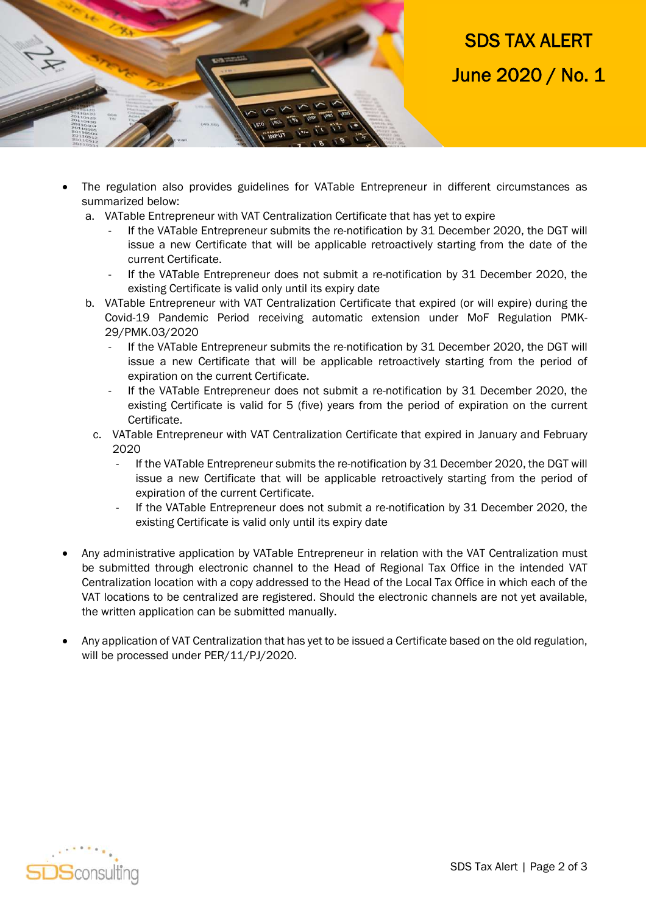

SDS TAX ALERT June 2020 / No. 1

- The regulation also provides guidelines for VATable Entrepreneur in different circumstances as summarized below:
	- a. VATable Entrepreneur with VAT Centralization Certificate that has yet to expire
		- If the VATable Entrepreneur submits the re-notification by 31 December 2020, the DGT will issue a new Certificate that will be applicable retroactively starting from the date of the current Certificate.
		- If the VATable Entrepreneur does not submit a re-notification by 31 December 2020, the existing Certificate is valid only until its expiry date
	- b. VATable Entrepreneur with VAT Centralization Certificate that expired (or will expire) during the Covid-19 Pandemic Period receiving automatic extension under MoF Regulation PMK-29/PMK.03/2020
		- If the VATable Entrepreneur submits the re-notification by 31 December 2020, the DGT will issue a new Certificate that will be applicable retroactively starting from the period of expiration on the current Certificate.
		- If the VATable Entrepreneur does not submit a re-notification by 31 December 2020, the existing Certificate is valid for 5 (five) years from the period of expiration on the current Certificate.
		- c. VATable Entrepreneur with VAT Centralization Certificate that expired in January and February 2020
			- If the VATable Entrepreneur submits the re-notification by 31 December 2020, the DGT will issue a new Certificate that will be applicable retroactively starting from the period of expiration of the current Certificate.
			- If the VATable Entrepreneur does not submit a re-notification by 31 December 2020, the existing Certificate is valid only until its expiry date
- Any administrative application by VATable Entrepreneur in relation with the VAT Centralization must be submitted through electronic channel to the Head of Regional Tax Office in the intended VAT Centralization location with a copy addressed to the Head of the Local Tax Office in which each of the VAT locations to be centralized are registered. Should the electronic channels are not yet available, the written application can be submitted manually.
- Any application of VAT Centralization that has yet to be issued a Certificate based on the old regulation, will be processed under PER/11/PJ/2020.